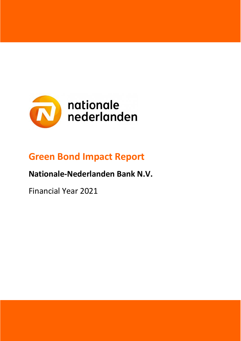

# **Green Bond Impact Report**

## **Nationale-Nederlanden Bank N.V.**

Financial Year 2021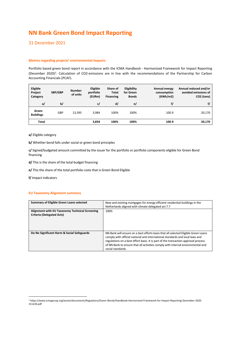## **NN Bank Green Bond Impact Reporting**

### 31 December 2021

#### **Metrics regarding projects' environmental impacts:**

Portfolio based green bond report in accordance with the ICMA Handbook - Harmonized Framework for Impact Reporting (December 2020) 1 . Calculation of CO2-emissions are in line with the recommendations of the Partnership for Carbon Accounting Financials (PCAF).

| Eligible<br>Project<br>Category | SBP/GBP    | <b>Number</b><br>of units | Eligible<br>portfolio<br>(EURm) | Share of<br>Total<br><b>Financing</b> | <b>Eligibility</b><br>for Green<br><b>Bonds</b> | Annual energy<br>consumption<br>(KWh/m2) | Annual reduced and/or<br>avoided emissions of<br>CO2 (tons) |
|---------------------------------|------------|---------------------------|---------------------------------|---------------------------------------|-------------------------------------------------|------------------------------------------|-------------------------------------------------------------|
| a/                              | b/         |                           | c/                              | d/                                    | e/                                              | f/                                       | f/                                                          |
| Green<br><b>Buildings</b>       | <b>GBP</b> | 13,395                    | 3.984                           | 100%                                  | 100%                                            | 100.9                                    | 20,170                                                      |
| <b>Total</b>                    |            |                           | 3.834                           | 100%                                  | 100%                                            | 100.9                                    | 20,170                                                      |

**a/** Eligible category

**b/** Whether bond falls under social or green bond principles

**c/** Signed/budgeted amount committed by the issuer for the portfolio or portfolio components eligible for Green Bond financing

**d/** This is the share of the total budget financing

**e/** This the share of the total portfolio costs that is Green Bond Eligible

**f/** Impact indicators

#### **EU Taxonomy Alignment summary**

| Summary of Eligible Green Loans selected                                           | New and existing mortgages for energy efficient residential buildings in the<br>Netherlands aligned with climate delegated act 7.7                                                                                                                                                                                                                               |
|------------------------------------------------------------------------------------|------------------------------------------------------------------------------------------------------------------------------------------------------------------------------------------------------------------------------------------------------------------------------------------------------------------------------------------------------------------|
| Alignment with EU Taxonomy Technical Screening<br><b>Criteria (Delegated Acts)</b> | 100%                                                                                                                                                                                                                                                                                                                                                             |
| Do No Significant Harm & Social Safeguards                                         | NN Bank will ensure on a best efforts basis that all selected Eligible Green Loans<br>comply with official national and international standards and local laws and<br>regulations on a best effort basis. It is part of the transaction approval process<br>of NN Bank to ensure that all activities comply with internal environmental and<br>social standards. |

<sup>1</sup> https://www.icmagroup.org/assets/documents/Regulatory/Green-Bonds/Handbook-Harmonized-Framework-for-Impact-Reporting-December-2020- 151220.pdf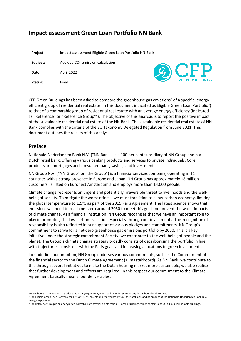## **Impact assessment Green Loan Portfolio NN Bank**

| <b>Project:</b> | Impact assessment Eligible Green Loan Portfolio NN Bank |               |
|-----------------|---------------------------------------------------------|---------------|
| Subject:        | Avoided CO <sub>2</sub> -emission calculation           |               |
| Date:           | April 2022                                              | <b>2) CFP</b> |
| Status:         | Final                                                   |               |

CFP Green Buildings has been asked to compare the greenhouse gas emissions<sup>2</sup> of a specific, energyefficient group of residential real estate (in this document indicated as Eligible Green Loan Portfolio<sup>3</sup>) to that of a comparable group of residential real estate with an average energy efficiency (indicated as "Reference" or "Reference Group"<sup>4</sup>). The objective of this analysis is to report the positive impact of the sustainable residential real estate of the NN Bank. The sustainable residential real estate of NN Bank complies with the criteria of the EU Taxonomy Delegated Regulation from June 2021. This document outlines the results of this analysis.

## **Preface**

Nationale-Nederlanden Bank N.V. ("NN Bank") is a 100 per cent subsidiary of NN Group and is a Dutch retail bank, offering various banking products and services to private individuals. Core products are mortgages and consumer loans, savings and investments.

NN Group N.V. ("NN Group" or "the Group") is a financial services company, operating in 11 countries with a strong presence in Europe and Japan. NN Group has approximately 18 million customers, is listed on Euronext Amsterdam and employs more than 14,000 people.

Climate change represents an urgent and potentially irreversible threat to livelihoods and the wellbeing of society. To mitigate the worst effects, we must transition to a low-carbon economy, limiting the global temperature to 1.5°C as part of the 2015 Paris Agreement. The latest science shows that emissions will need to reach net-zero around 2050 to meet this goal and prevent the worst impacts of climate change. As a financial institution, NN Group recognises that we have an important role to play in promoting the low-carbon transition especially through our investments. This recognition of responsibility is also reflected in our support of various pledges and commitments. NN Group's commitment to strive for a net-zero greenhouse gas emissions portfolio by 2050. This is a key initiative under the strategic commitment Society: we contribute to the well-being of people and the planet. The Group's climate change strategy broadly consists of decarbonising the portfolio in line with trajectories consistent with the Paris goals and increasing allocations to green investments.

To underline our ambition, NN Group endorses various commitments, such as the Commitment of the financial sector to the Dutch Climate Agreement (Klimaatakkoord). As NN Bank, we contribute to this through several initiatives to make the Dutch housing market more sustainable, we also realise that further development and efforts are required. In this respect our commitment to the Climate Agreement basically means four deliverables:

<sup>&</sup>lt;sup>2</sup> Greenhouse gas emissions are calculated in CO<sub>2</sub>-equivalent, which will be referred to as CO<sub>2</sub> throughout this document.

<sup>&</sup>lt;sup>3</sup> The Eligible Green Loan Portfolio consists of 13,395 objects and represents 19% of the total outstanding amount of the Nationale-Nederlanden Bank N.V. mortgage portfolio.

<sup>4</sup> The Reference Group is an anonymised portfolio from several clients from CFP Green Buildings, which contains about 140.000 comparable buildings.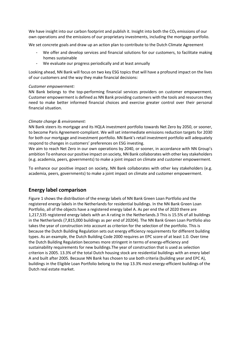We have insight into our carbon footprint and publish it. Insight into both the  $CO<sub>2</sub>$  emissions of our own operations and the emissions of our proprietary investments, including the mortgage portfolio.

We set concrete goals and draw up an action plan to contribute to the Dutch Climate Agreement

- We offer and develop services and financial solutions for our customers, to facilitate making homes sustainable
- We evaluate our progress periodically and at least annually

Looking ahead, NN Bank will focus on two key ESG topics that will have a profound impact on the lives of our customers and the way they make financial decisions:

#### *Customer empowerment:*

NN Bank belongs to the top-performing financial services providers on customer empowerment. Customer empowerment is defined as NN Bank providing customers with the tools and resources they need to make better informed financial choices and exercise greater control over their personal financial situation.

#### *Climate change & environment:*

NN Bank steers its mortgage and its HQLA investment portfolio towards Net Zero by 2050, or sooner, to become Paris Agreement-compliant. We will set intermediate emissions reduction targets for 2030 for both our mortgage and investment portfolio. NN Bank's retail investment portfolio will adequately respond to changes in customers' preferences on ESG investing.

We aim to reach Net Zero in our own operations by 2040, or sooner, in accordance with NN Group's ambition To enhance our positive impact on society, NN Bank collaborates with other key stakeholders (e.g. academia, peers, governments) to make a joint impact on climate and customer empowerment.

To enhance our positive impact on society, NN Bank collaborates with other key stakeholders (e.g. academia, peers, governments) to make a joint impact on climate and customer empowerment.

## **Energy label comparison**

Figure 1 shows the distribution of the energy labels of NN Bank Green Loan Portfolio and the registered energy labels in the Netherlands for residential buildings. In the NN Bank Green Loan Portfolio, all of the objects have a registered energy label A. As per end the of 2020 there are 1,217,535 registered energy labels with an A rating in the Netherlands.3 This is 15.5% of all buildings in the Netherlands (7,815,000 buildings as per end of 20204). The NN Bank Green Loan Portfolio also takes the year of construction into account as criterion for the selection of the portfolio. This is because the Dutch Building Regulation sets out energy efficiency requirements for different building types. As an example, the Dutch Building Code 2000 requires an EPC score of at least 1.0. Over time the Dutch Building Regulation becomes more stringent in terms of energy-efficiency and sustainability requirements for new buildings.The year of construction that is used as selection criterion is 2005. 13.3% of the total Dutch housing stock are residential buildings with an enery label A and built after 2005. Because NN Bank has chosen to use both criteria (building year and EPC A), buildings in the Eligible Loan Portfolio belong to the top 13.3% most energy-efficient buildings of the Dutch real estate market.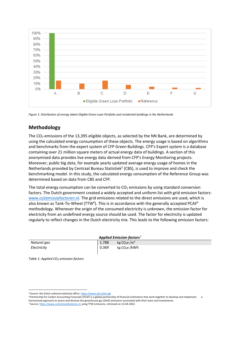

*Figure 1: Distribution of energy labels Eligible Green Loan Portfolio and residential buildings in the Netherlands*

## **Methodology**

The CO<sub>2</sub>-emissions of the 13,395 eligible objects, as selected by the NN Bank, are determined by using the calculated energy consumption of these objects. The energy usage is based on algorithms and benchmarks from the expert system of CFP Green Buildings. CFP's Expert system is a database containing over 21 million square meters of actual energy data of buildings. A section of this anonymised data provides live energy data derived from CFP's Energy Monitoring projects. Moreover, public big data, for example yearly updated average energy usage of homes in the Netherlands provided by Centraal Bureau Statistiek<sup>5</sup> (CBS), is used to improve and check the benchmarking model. In this study, the calculated energy consumption of the Reference Group was determined based on data from CBS and CFP.

The total energy consumption can be converted to  $CO<sub>2</sub>$  emissions by using standard conversion factors. The Dutch government created a widely accepted and uniform list with grid emission factors: [www.co2emissiefactoren.nl.](http://www.co2emissiefactoren.nl/) The grid emissions related to the direct emissions are used, which is also known as Tank-To-Wheel (TTW<sup>6</sup>). This is in accordance with the generally accepted PCAF<sup>6</sup> methodology. Whenever the origin of the consumed electricity is unknown, the emission factor for electricity from an undefined energy source should be used. The factor for electricity is updated regularly to reflect changes in the Dutch electricity mix. This leads to the following emission factors:

| Applied Emission factors <sup>7</sup> |       |                           |  |  |
|---------------------------------------|-------|---------------------------|--|--|
| Natural gas                           | 1.788 | kg $CO2e/m3$              |  |  |
| Electricity                           | 0.369 | kg CO <sub>2</sub> e /kWh |  |  |

*Table 1: Applied CO2-emission factors*

<sup>5</sup> Source: the Dutch national statistical office[: https://www.cbs.nl/en-gb](https://www.cbs.nl/en-gb)

<sup>&</sup>lt;sup>6</sup> Partnership for Carbon Accounting Financials (PCAF) is a global partnership of financial institutions that work together to develop and implement harmonized approach to assess and disclose the greenhouse gas (GHG) emissions associated with their loans and investments.

<sup>7</sup> Source[: https://www.co2emissiefactoren.nl](https://www.co2emissiefactoren.nl/) using TTW emissions, retrieved on 13-04-2022.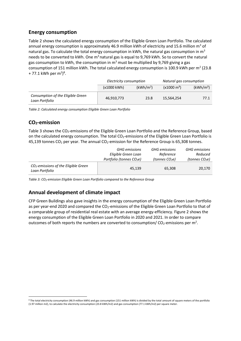## **Energy consumption**

[Table 2](#page-5-0) shows the calculated energy consumption of the Eligible Green Loan Portfolio. The calculated annual energy consumption is approximately 46.9 million kWh of electricity and 15.6 million  $m^3$  of natural gas. To calculate the total energy consumption in kWh, the natural gas consumption in  $m<sup>3</sup>$ needs to be converted to kWh. One  $m^3$  natural gas is equal to 9,769 kWh. So to convert the natural gas consumption to kWh, the consumption in  $m<sup>3</sup>$  must be multiplied by 9,769 giving a gas consumption of 151 million kWh. The total calculated energy consumption is 100.9 kWh per m<sup>2</sup> (23.8 + 77.1 kWh per m<sup>2</sup>)<sup>8</sup>.

|                                                     | Electricity consumption |                       | Natural gas consumption |                       |
|-----------------------------------------------------|-------------------------|-----------------------|-------------------------|-----------------------|
|                                                     | (x1000 kWh)             | (kWh/m <sup>2</sup> ) | $(x1000 \text{ m}^3)$   | (kWh/m <sup>2</sup> ) |
| Consumption of the Eligible Green<br>Loan Portfolio | 46,910,773              | 23.8                  | 15.564.254              | 77.1                  |

<span id="page-5-0"></span>*Table 2: Calculated energy consumption Eligible Green Loan Portfolio*

## **CO2-emission**

[Table 3](#page-5-1) shows the CO<sub>2</sub>-emissions of the Eligible Green Loan Portfolio and the Reference Group, based on the calculated energy consumption. The total  $CO<sub>2</sub>$ -emissions of the Eligible Green Loan Portfolio is 45,139 tonnes  $CO<sub>2</sub>$  per year. The annual  $CO<sub>2</sub>$ -emission for the Reference Group is 65,308 tonnes.

|                                                                    | <b>GHG</b> emissions                 | <b>GHG</b> emissions       | <b>GHG</b> emissions       |
|--------------------------------------------------------------------|--------------------------------------|----------------------------|----------------------------|
|                                                                    | Eligible Green Loan                  | Reference                  | Reduced                    |
|                                                                    | Portfolio (tonnes CO <sub>2</sub> e) | (tonnes CO <sub>2</sub> e) | (tonnes CO <sub>2</sub> e) |
| CO <sub>2</sub> -emissions of the Eligible Green<br>Loan Portfolio | 45.139                               | 65,308                     | 20,170                     |

<span id="page-5-1"></span>*Table 3: CO2-emission Eligible Green Loan Portfolio compared to the Reference Group*

## **Annual development of climate impact**

CFP Green Buildings also gave insights in the energy consumption of the Eligible Green Loan Portfolio as per year-end 2020 and compared the CO<sub>2</sub>-emissions of the Eligible Green Loan Portfolio to that of a comparable group of residential real estate with an average energy-efficiency. Figure 2 shows the energy consumption of the Eligible Green Loan Portfolio in 2020 and 2021. In order to compare outcomes of both reports the numbers are converted to consumption/  $CO_2$ -emissions per m<sup>2</sup>.

<sup>&</sup>lt;sup>8</sup> The total electricity consumption (46.9 million kWh) and gas consumption (151 million kWh) is divided by the total amount of square meters of the portfolio (1.97 million m2), to calculate the electricity consumption (23.8 kWh/m2) and gas consumption (77.1 kWh/m2) per square meter.